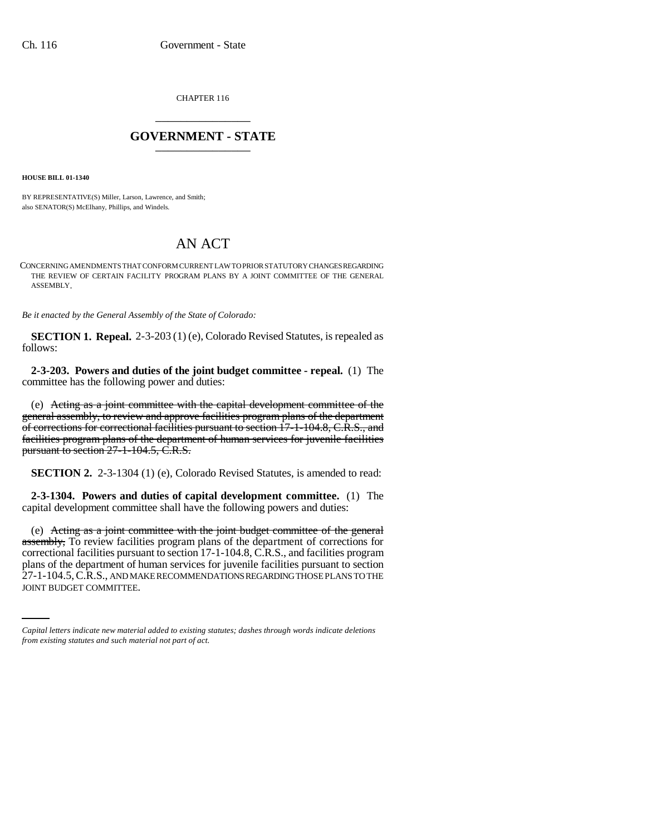CHAPTER 116 \_\_\_\_\_\_\_\_\_\_\_\_\_\_\_

## **GOVERNMENT - STATE** \_\_\_\_\_\_\_\_\_\_\_\_\_\_\_

**HOUSE BILL 01-1340**

BY REPRESENTATIVE(S) Miller, Larson, Lawrence, and Smith; also SENATOR(S) McElhany, Phillips, and Windels.

## AN ACT

CONCERNING AMENDMENTS THAT CONFORM CURRENT LAW TO PRIOR STATUTORY CHANGES REGARDING THE REVIEW OF CERTAIN FACILITY PROGRAM PLANS BY A JOINT COMMITTEE OF THE GENERAL ASSEMBLY.

*Be it enacted by the General Assembly of the State of Colorado:*

**SECTION 1. Repeal.** 2-3-203 (1) (e), Colorado Revised Statutes, is repealed as follows:

**2-3-203. Powers and duties of the joint budget committee - repeal.** (1) The committee has the following power and duties:

(e) Acting as a joint committee with the capital development committee of the general assembly, to review and approve facilities program plans of the department of corrections for correctional facilities pursuant to section 17-1-104.8, C.R.S., and facilities program plans of the department of human services for juvenile facilities pursuant to section 27-1-104.5, C.R.S.

**SECTION 2.** 2-3-1304 (1) (e), Colorado Revised Statutes, is amended to read:

**2-3-1304. Powers and duties of capital development committee.** (1) The capital development committee shall have the following powers and duties:

plans of the department of human services for juvenile facilities pursuant to section (e) Acting as a joint committee with the joint budget committee of the general assembly, To review facilities program plans of the department of corrections for correctional facilities pursuant to section 17-1-104.8, C.R.S., and facilities program 27-1-104.5, C.R.S., AND MAKE RECOMMENDATIONS REGARDING THOSE PLANS TO THE JOINT BUDGET COMMITTEE.

*Capital letters indicate new material added to existing statutes; dashes through words indicate deletions from existing statutes and such material not part of act.*